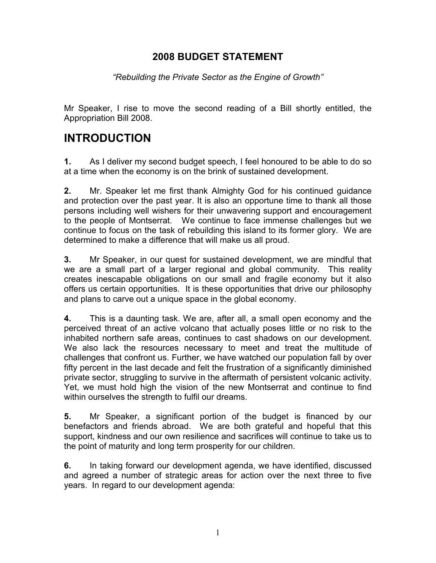### **2008 BUDGET STATEMENT**

*"Rebuilding the Private Sector as the Engine of Growth"*

Mr Speaker, I rise to move the second reading of a Bill shortly entitled, the Appropriation Bill 2008.

# **INTRODUCTION**

**1.** As I deliver my second budget speech, I feel honoured to be able to do so at a time when the economy is on the brink of sustained development.

**2.** Mr. Speaker let me first thank Almighty God for his continued guidance and protection over the past year. It is also an opportune time to thank all those persons including well wishers for their unwavering support and encouragement to the people of Montserrat. We continue to face immense challenges but we continue to focus on the task of rebuilding this island to its former glory. We are determined to make a difference that will make us all proud.

**3.** Mr Speaker, in our quest for sustained development, we are mindful that we are a small part of a larger regional and global community. This reality creates inescapable obligations on our small and fragile economy but it also offers us certain opportunities. It is these opportunities that drive our philosophy and plans to carve out a unique space in the global economy.

**4.** This is a daunting task. We are, after all, a small open economy and the perceived threat of an active volcano that actually poses little or no risk to the inhabited northern safe areas, continues to cast shadows on our development. We also lack the resources necessary to meet and treat the multitude of challenges that confront us. Further, we have watched our population fall by over fifty percent in the last decade and felt the frustration of a significantly diminished private sector, struggling to survive in the aftermath of persistent volcanic activity. Yet, we must hold high the vision of the new Montserrat and continue to find within ourselves the strength to fulfil our dreams.

**5.** Mr Speaker, a significant portion of the budget is financed by our benefactors and friends abroad. We are both grateful and hopeful that this support, kindness and our own resilience and sacrifices will continue to take us to the point of maturity and long term prosperity for our children.

**6.** In taking forward our development agenda, we have identified, discussed and agreed a number of strategic areas for action over the next three to five years. In regard to our development agenda: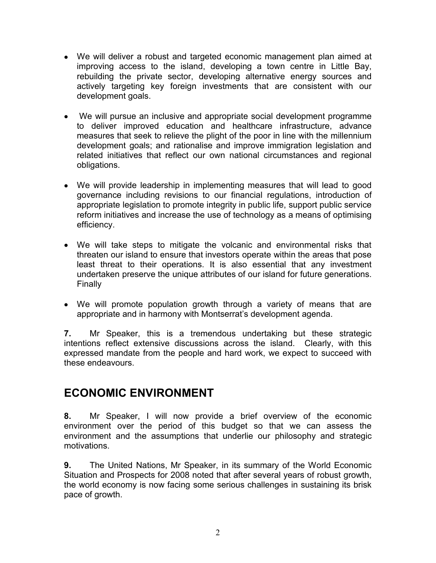- We will deliver a robust and targeted economic management plan aimed at improving access to the island, developing a town centre in Little Bay, rebuilding the private sector, developing alternative energy sources and actively targeting key foreign investments that are consistent with our development goals.
- We will pursue an inclusive and appropriate social development programme to deliver improved education and healthcare infrastructure, advance measures that seek to relieve the plight of the poor in line with the millennium development goals; and rationalise and improve immigration legislation and related initiatives that reflect our own national circumstances and regional obligations.
- We will provide leadership in implementing measures that will lead to good governance including revisions to our financial regulations, introduction of appropriate legislation to promote integrity in public life, support public service reform initiatives and increase the use of technology as a means of optimising efficiency.
- We will take steps to mitigate the volcanic and environmental risks that threaten our island to ensure that investors operate within the areas that pose least threat to their operations. It is also essential that any investment undertaken preserve the unique attributes of our island for future generations. Finally
- We will promote population growth through a variety of means that are appropriate and in harmony with Montserrat's development agenda.

**7.** Mr Speaker, this is a tremendous undertaking but these strategic intentions reflect extensive discussions across the island. Clearly, with this expressed mandate from the people and hard work, we expect to succeed with these endeavours.

## **ECONOMIC ENVIRONMENT**

**8.** Mr Speaker, I will now provide a brief overview of the economic environment over the period of this budget so that we can assess the environment and the assumptions that underlie our philosophy and strategic motivations.

**9.** The United Nations, Mr Speaker, in its summary of the World Economic Situation and Prospects for 2008 noted that after several years of robust growth, the world economy is now facing some serious challenges in sustaining its brisk pace of growth.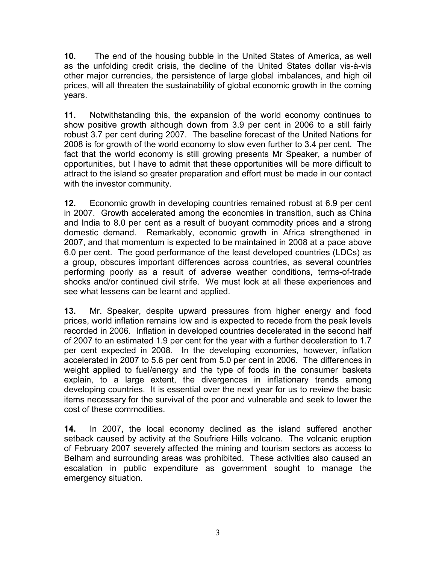**10.** The end of the housing bubble in the United States of America, as well as the unfolding credit crisis, the decline of the United States dollar vis-à-vis other major currencies, the persistence of large global imbalances, and high oil prices, will all threaten the sustainability of global economic growth in the coming years.

**11.** Notwithstanding this, the expansion of the world economy continues to show positive growth although down from 3.9 per cent in 2006 to a still fairly robust 3.7 per cent during 2007. The baseline forecast of the United Nations for 2008 is for growth of the world economy to slow even further to 3.4 per cent. The fact that the world economy is still growing presents Mr Speaker, a number of opportunities, but I have to admit that these opportunities will be more difficult to attract to the island so greater preparation and effort must be made in our contact with the investor community.

**12.** Economic growth in developing countries remained robust at 6.9 per cent in 2007. Growth accelerated among the economies in transition, such as China and India to 8.0 per cent as a result of buoyant commodity prices and a strong domestic demand. Remarkably, economic growth in Africa strengthened in 2007, and that momentum is expected to be maintained in 2008 at a pace above 6.0 per cent. The good performance of the least developed countries (LDCs) as a group, obscures important differences across countries, as several countries performing poorly as a result of adverse weather conditions, terms-of-trade shocks and/or continued civil strife. We must look at all these experiences and see what lessens can be learnt and applied.

**13.** Mr. Speaker, despite upward pressures from higher energy and food prices, world inflation remains low and is expected to recede from the peak levels recorded in 2006. Inflation in developed countries decelerated in the second half of 2007 to an estimated 1.9 per cent for the year with a further deceleration to 1.7 per cent expected in 2008. In the developing economies, however, inflation accelerated in 2007 to 5.6 per cent from 5.0 per cent in 2006. The differences in weight applied to fuel/energy and the type of foods in the consumer baskets explain, to a large extent, the divergences in inflationary trends among developing countries. It is essential over the next year for us to review the basic items necessary for the survival of the poor and vulnerable and seek to lower the cost of these commodities.

**14.** In 2007, the local economy declined as the island suffered another setback caused by activity at the Soufriere Hills volcano. The volcanic eruption of February 2007 severely affected the mining and tourism sectors as access to Belham and surrounding areas was prohibited. These activities also caused an escalation in public expenditure as government sought to manage the emergency situation.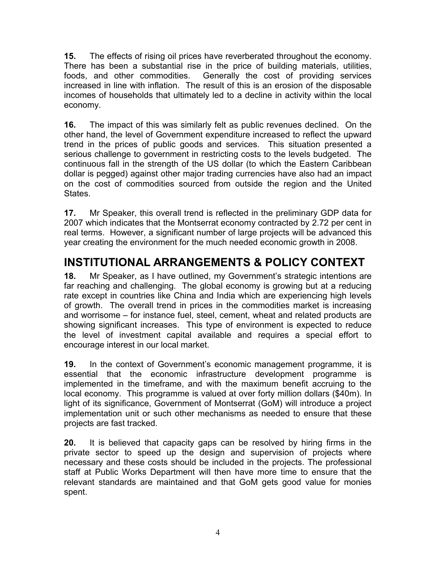**15.** The effects of rising oil prices have reverberated throughout the economy. There has been a substantial rise in the price of building materials, utilities, foods, and other commodities. Generally the cost of providing services increased in line with inflation. The result of this is an erosion of the disposable incomes of households that ultimately led to a decline in activity within the local economy.

**16.** The impact of this was similarly felt as public revenues declined. On the other hand, the level of Government expenditure increased to reflect the upward trend in the prices of public goods and services. This situation presented a serious challenge to government in restricting costs to the levels budgeted. The continuous fall in the strength of the US dollar (to which the Eastern Caribbean dollar is pegged) against other major trading currencies have also had an impact on the cost of commodities sourced from outside the region and the United **States** 

**17.** Mr Speaker, this overall trend is reflected in the preliminary GDP data for 2007 which indicates that the Montserrat economy contracted by 2.72 per cent in real terms. However, a significant number of large projects will be advanced this year creating the environment for the much needed economic growth in 2008.

# **INSTITUTIONAL ARRANGEMENTS & POLICY CONTEXT**

**18.** Mr Speaker, as I have outlined, my Government's strategic intentions are far reaching and challenging. The global economy is growing but at a reducing rate except in countries like China and India which are experiencing high levels of growth. The overall trend in prices in the commodities market is increasing and worrisome – for instance fuel, steel, cement, wheat and related products are showing significant increases. This type of environment is expected to reduce the level of investment capital available and requires a special effort to encourage interest in our local market.

**19.** In the context of Government's economic management programme, it is essential that the economic infrastructure development programme is implemented in the timeframe, and with the maximum benefit accruing to the local economy. This programme is valued at over forty million dollars (\$40m). In light of its significance, Government of Montserrat (GoM) will introduce a project implementation unit or such other mechanisms as needed to ensure that these projects are fast tracked.

**20.** It is believed that capacity gaps can be resolved by hiring firms in the private sector to speed up the design and supervision of projects where necessary and these costs should be included in the projects. The professional staff at Public Works Department will then have more time to ensure that the relevant standards are maintained and that GoM gets good value for monies spent.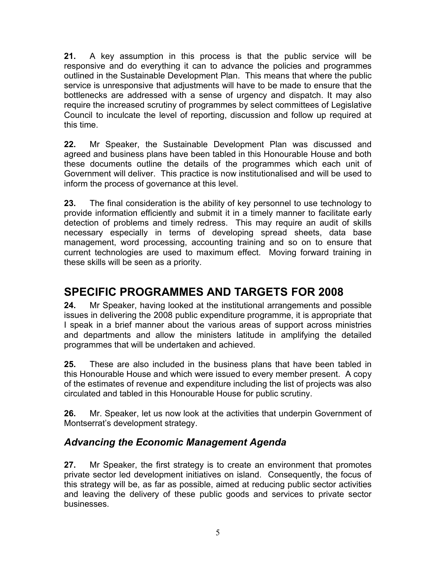**21.** A key assumption in this process is that the public service will be responsive and do everything it can to advance the policies and programmes outlined in the Sustainable Development Plan. This means that where the public service is unresponsive that adjustments will have to be made to ensure that the bottlenecks are addressed with a sense of urgency and dispatch. It may also require the increased scrutiny of programmes by select committees of Legislative Council to inculcate the level of reporting, discussion and follow up required at this time.

**22.** Mr Speaker, the Sustainable Development Plan was discussed and agreed and business plans have been tabled in this Honourable House and both these documents outline the details of the programmes which each unit of Government will deliver. This practice is now institutionalised and will be used to inform the process of governance at this level.

**23.** The final consideration is the ability of key personnel to use technology to provide information efficiently and submit it in a timely manner to facilitate early detection of problems and timely redress. This may require an audit of skills necessary especially in terms of developing spread sheets, data base management, word processing, accounting training and so on to ensure that current technologies are used to maximum effect. Moving forward training in these skills will be seen as a priority.

# **SPECIFIC PROGRAMMES AND TARGETS FOR 2008**

**24.** Mr Speaker, having looked at the institutional arrangements and possible issues in delivering the 2008 public expenditure programme, it is appropriate that I speak in a brief manner about the various areas of support across ministries and departments and allow the ministers latitude in amplifying the detailed programmes that will be undertaken and achieved.

**25.** These are also included in the business plans that have been tabled in this Honourable House and which were issued to every member present. A copy of the estimates of revenue and expenditure including the list of projects was also circulated and tabled in this Honourable House for public scrutiny.

**26.** Mr. Speaker, let us now look at the activities that underpin Government of Montserrat's development strategy.

## *Advancing the Economic Management Agenda*

**27.** Mr Speaker, the first strategy is to create an environment that promotes private sector led development initiatives on island. Consequently, the focus of this strategy will be, as far as possible, aimed at reducing public sector activities and leaving the delivery of these public goods and services to private sector businesses.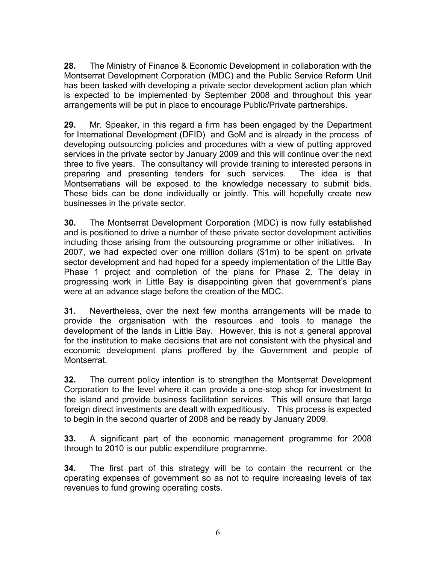**28.** The Ministry of Finance & Economic Development in collaboration with the Montserrat Development Corporation (MDC) and the Public Service Reform Unit has been tasked with developing a private sector development action plan which is expected to be implemented by September 2008 and throughout this year arrangements will be put in place to encourage Public/Private partnerships.

**29.** Mr. Speaker, in this regard a firm has been engaged by the Department for International Development (DFID) and GoM and is already in the process of developing outsourcing policies and procedures with a view of putting approved services in the private sector by January 2009 and this will continue over the next three to five years. The consultancy will provide training to interested persons in preparing and presenting tenders for such services. The idea is that Montserratians will be exposed to the knowledge necessary to submit bids. These bids can be done individually or jointly. This will hopefully create new businesses in the private sector.

**30.** The Montserrat Development Corporation (MDC) is now fully established and is positioned to drive a number of these private sector development activities including those arising from the outsourcing programme or other initiatives. In 2007, we had expected over one million dollars (\$1m) to be spent on private sector development and had hoped for a speedy implementation of the Little Bay Phase 1 project and completion of the plans for Phase 2. The delay in progressing work in Little Bay is disappointing given that government's plans were at an advance stage before the creation of the MDC.

**31.** Nevertheless, over the next few months arrangements will be made to provide the organisation with the resources and tools to manage the development of the lands in Little Bay. However, this is not a general approval for the institution to make decisions that are not consistent with the physical and economic development plans proffered by the Government and people of Montserrat.

**32.** The current policy intention is to strengthen the Montserrat Development Corporation to the level where it can provide a one-stop shop for investment to the island and provide business facilitation services. This will ensure that large foreign direct investments are dealt with expeditiously. This process is expected to begin in the second quarter of 2008 and be ready by January 2009.

**33.** A significant part of the economic management programme for 2008 through to 2010 is our public expenditure programme.

**34.** The first part of this strategy will be to contain the recurrent or the operating expenses of government so as not to require increasing levels of tax revenues to fund growing operating costs.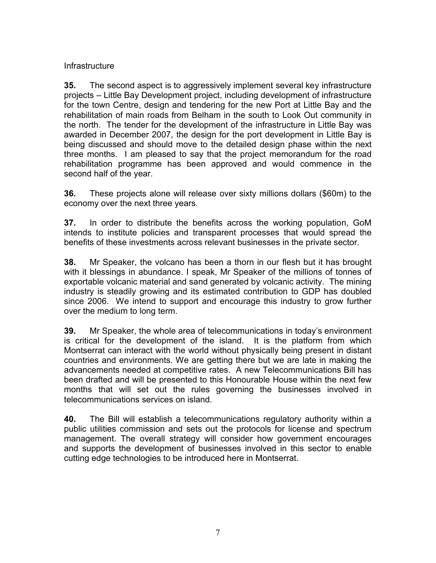#### **Infrastructure**

**35.** The second aspect is to aggressively implement several key infrastructure projects – Little Bay Development project, including development of infrastructure for the town Centre, design and tendering for the new Port at Little Bay and the rehabilitation of main roads from Belham in the south to Look Out community in the north. The tender for the development of the infrastructure in Little Bay was awarded in December 2007, the design for the port development in Little Bay is being discussed and should move to the detailed design phase within the next three months. I am pleased to say that the project memorandum for the road rehabilitation programme has been approved and would commence in the second half of the year.

**36.** These projects alone will release over sixty millions dollars (\$60m) to the economy over the next three years.

**37.** In order to distribute the benefits across the working population, GoM intends to institute policies and transparent processes that would spread the benefits of these investments across relevant businesses in the private sector.

**38.** Mr Speaker, the volcano has been a thorn in our flesh but it has brought with it blessings in abundance. I speak, Mr Speaker of the millions of tonnes of exportable volcanic material and sand generated by volcanic activity. The mining industry is steadily growing and its estimated contribution to GDP has doubled since 2006. We intend to support and encourage this industry to grow further over the medium to long term.

**39.** Mr Speaker, the whole area of telecommunications in today's environment is critical for the development of the island. It is the platform from which Montserrat can interact with the world without physically being present in distant countries and environments. We are getting there but we are late in making the advancements needed at competitive rates. A new Telecommunications Bill has been drafted and will be presented to this Honourable House within the next few months that will set out the rules governing the businesses involved in telecommunications services on island.

**40.** The Bill will establish a telecommunications regulatory authority within a public utilities commission and sets out the protocols for license and spectrum management. The overall strategy will consider how government encourages and supports the development of businesses involved in this sector to enable cutting edge technologies to be introduced here in Montserrat.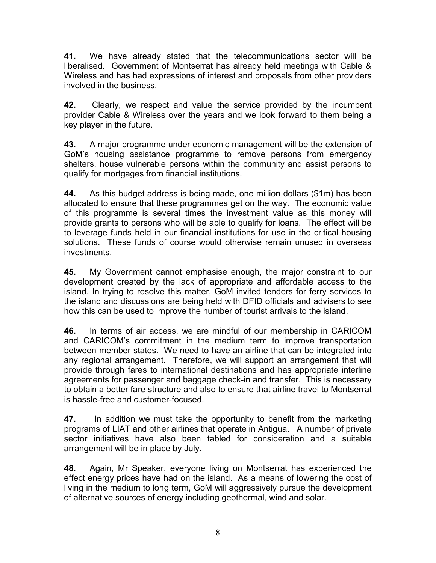**41.** We have already stated that the telecommunications sector will be liberalised. Government of Montserrat has already held meetings with Cable & Wireless and has had expressions of interest and proposals from other providers involved in the business.

**42.** Clearly, we respect and value the service provided by the incumbent provider Cable & Wireless over the years and we look forward to them being a key player in the future.

**43.** A major programme under economic management will be the extension of GoM's housing assistance programme to remove persons from emergency shelters, house vulnerable persons within the community and assist persons to qualify for mortgages from financial institutions.

**44.** As this budget address is being made, one million dollars (\$1m) has been allocated to ensure that these programmes get on the way. The economic value of this programme is several times the investment value as this money will provide grants to persons who will be able to qualify for loans. The effect will be to leverage funds held in our financial institutions for use in the critical housing solutions. These funds of course would otherwise remain unused in overseas investments.

**45.** My Government cannot emphasise enough, the major constraint to our development created by the lack of appropriate and affordable access to the island. In trying to resolve this matter, GoM invited tenders for ferry services to the island and discussions are being held with DFID officials and advisers to see how this can be used to improve the number of tourist arrivals to the island.

**46.** In terms of air access, we are mindful of our membership in CARICOM and CARICOM's commitment in the medium term to improve transportation between member states. We need to have an airline that can be integrated into any regional arrangement. Therefore, we will support an arrangement that will provide through fares to international destinations and has appropriate interline agreements for passenger and baggage check-in and transfer. This is necessary to obtain a better fare structure and also to ensure that airline travel to Montserrat is hassle-free and customer-focused.

**47.** In addition we must take the opportunity to benefit from the marketing programs of LIAT and other airlines that operate in Antigua. A number of private sector initiatives have also been tabled for consideration and a suitable arrangement will be in place by July.

**48.** Again, Mr Speaker, everyone living on Montserrat has experienced the effect energy prices have had on the island. As a means of lowering the cost of living in the medium to long term, GoM will aggressively pursue the development of alternative sources of energy including geothermal, wind and solar.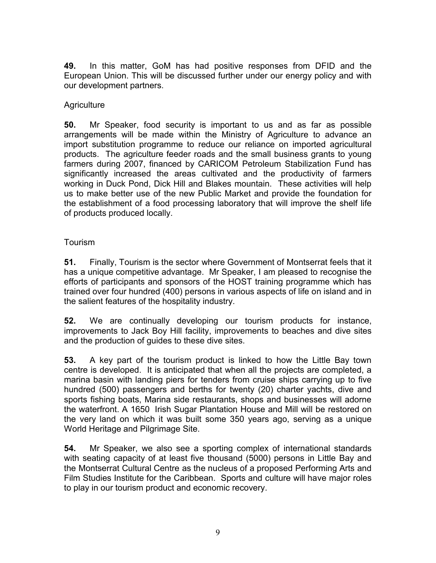**49.** In this matter, GoM has had positive responses from DFID and the European Union. This will be discussed further under our energy policy and with our development partners.

#### Agriculture

**50.** Mr Speaker, food security is important to us and as far as possible arrangements will be made within the Ministry of Agriculture to advance an import substitution programme to reduce our reliance on imported agricultural products. The agriculture feeder roads and the small business grants to young farmers during 2007, financed by CARICOM Petroleum Stabilization Fund has significantly increased the areas cultivated and the productivity of farmers working in Duck Pond, Dick Hill and Blakes mountain. These activities will help us to make better use of the new Public Market and provide the foundation for the establishment of a food processing laboratory that will improve the shelf life of products produced locally.

#### Tourism

**51.** Finally, Tourism is the sector where Government of Montserrat feels that it has a unique competitive advantage. Mr Speaker, I am pleased to recognise the efforts of participants and sponsors of the HOST training programme which has trained over four hundred (400) persons in various aspects of life on island and in the salient features of the hospitality industry.

**52.** We are continually developing our tourism products for instance, improvements to Jack Boy Hill facility, improvements to beaches and dive sites and the production of guides to these dive sites.

**53.** A key part of the tourism product is linked to how the Little Bay town centre is developed. It is anticipated that when all the projects are completed, a marina basin with landing piers for tenders from cruise ships carrying up to five hundred (500) passengers and berths for twenty (20) charter yachts, dive and sports fishing boats, Marina side restaurants, shops and businesses will adorne the waterfront. A 1650 Irish Sugar Plantation House and Mill will be restored on the very land on which it was built some 350 years ago, serving as a unique World Heritage and Pilgrimage Site.

**54.** Mr Speaker, we also see a sporting complex of international standards with seating capacity of at least five thousand (5000) persons in Little Bay and the Montserrat Cultural Centre as the nucleus of a proposed Performing Arts and Film Studies Institute for the Caribbean. Sports and culture will have major roles to play in our tourism product and economic recovery.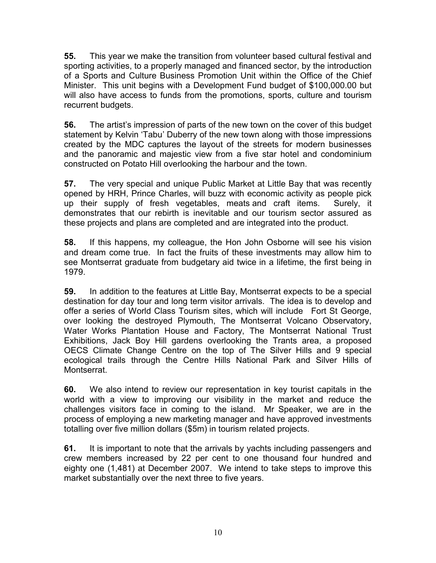**55.** This year we make the transition from volunteer based cultural festival and sporting activities, to a properly managed and financed sector, by the introduction of a Sports and Culture Business Promotion Unit within the Office of the Chief Minister. This unit begins with a Development Fund budget of \$100,000.00 but will also have access to funds from the promotions, sports, culture and tourism recurrent budgets.

**56.** The artist's impression of parts of the new town on the cover of this budget statement by Kelvin 'Tabu' Duberry of the new town along with those impressions created by the MDC captures the layout of the streets for modern businesses and the panoramic and majestic view from a five star hotel and condominium constructed on Potato Hill overlooking the harbour and the town.

**57.** The very special and unique Public Market at Little Bay that was recently opened by HRH, Prince Charles, will buzz with economic activity as people pick up their supply of fresh vegetables, meats and craft items. Surely, it demonstrates that our rebirth is inevitable and our tourism sector assured as these projects and plans are completed and are integrated into the product.

**58.** If this happens, my colleague, the Hon John Osborne will see his vision and dream come true. In fact the fruits of these investments may allow him to see Montserrat graduate from budgetary aid twice in a lifetime, the first being in 1979.

**59.** In addition to the features at Little Bay, Montserrat expects to be a special destination for day tour and long term visitor arrivals. The idea is to develop and offer a series of World Class Tourism sites, which will include Fort St George, over looking the destroyed Plymouth, The Montserrat Volcano Observatory, Water Works Plantation House and Factory, The Montserrat National Trust Exhibitions, Jack Boy Hill gardens overlooking the Trants area, a proposed OECS Climate Change Centre on the top of The Silver Hills and 9 special ecological trails through the Centre Hills National Park and Silver Hills of Montserrat.

**60.** We also intend to review our representation in key tourist capitals in the world with a view to improving our visibility in the market and reduce the challenges visitors face in coming to the island. Mr Speaker, we are in the process of employing a new marketing manager and have approved investments totalling over five million dollars (\$5m) in tourism related projects.

**61.** It is important to note that the arrivals by yachts including passengers and crew members increased by 22 per cent to one thousand four hundred and eighty one (1,481) at December 2007. We intend to take steps to improve this market substantially over the next three to five years.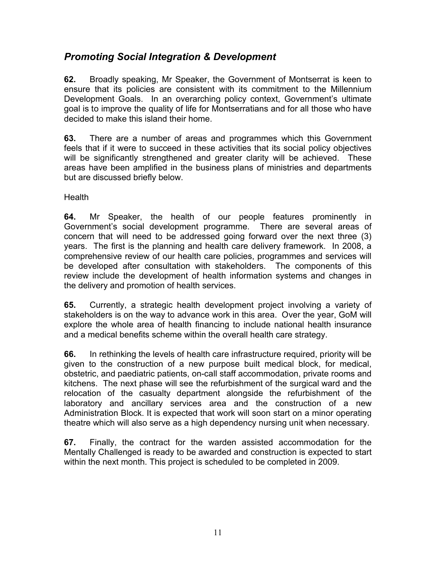### *Promoting Social Integration & Development*

**62.** Broadly speaking, Mr Speaker, the Government of Montserrat is keen to ensure that its policies are consistent with its commitment to the Millennium Development Goals. In an overarching policy context, Government's ultimate goal is to improve the quality of life for Montserratians and for all those who have decided to make this island their home.

**63.** There are a number of areas and programmes which this Government feels that if it were to succeed in these activities that its social policy objectives will be significantly strengthened and greater clarity will be achieved. These areas have been amplified in the business plans of ministries and departments but are discussed briefly below.

Health

**64.** Mr Speaker, the health of our people features prominently in Government's social development programme. There are several areas of concern that will need to be addressed going forward over the next three (3) years. The first is the planning and health care delivery framework. In 2008, a comprehensive review of our health care policies, programmes and services will be developed after consultation with stakeholders. The components of this review include the development of health information systems and changes in the delivery and promotion of health services.

**65.** Currently, a strategic health development project involving a variety of stakeholders is on the way to advance work in this area. Over the year, GoM will explore the whole area of health financing to include national health insurance and a medical benefits scheme within the overall health care strategy.

**66.** In rethinking the levels of health care infrastructure required, priority will be given to the construction of a new purpose built medical block, for medical, obstetric, and paediatric patients, on-call staff accommodation, private rooms and kitchens. The next phase will see the refurbishment of the surgical ward and the relocation of the casualty department alongside the refurbishment of the laboratory and ancillary services area and the construction of a new Administration Block. It is expected that work will soon start on a minor operating theatre which will also serve as a high dependency nursing unit when necessary.

**67.** Finally, the contract for the warden assisted accommodation for the Mentally Challenged is ready to be awarded and construction is expected to start within the next month. This project is scheduled to be completed in 2009.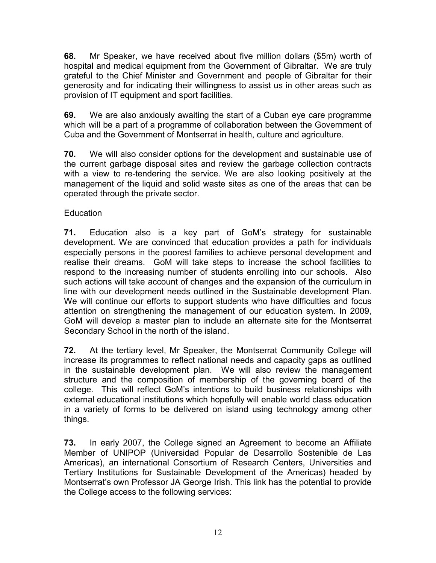**68.** Mr Speaker, we have received about five million dollars (\$5m) worth of hospital and medical equipment from the Government of Gibraltar. We are truly grateful to the Chief Minister and Government and people of Gibraltar for their generosity and for indicating their willingness to assist us in other areas such as provision of IT equipment and sport facilities.

**69.** We are also anxiously awaiting the start of a Cuban eye care programme which will be a part of a programme of collaboration between the Government of Cuba and the Government of Montserrat in health, culture and agriculture.

**70.** We will also consider options for the development and sustainable use of the current garbage disposal sites and review the garbage collection contracts with a view to re-tendering the service. We are also looking positively at the management of the liquid and solid waste sites as one of the areas that can be operated through the private sector.

#### **Education**

**71.** Education also is a key part of GoM's strategy for sustainable development. We are convinced that education provides a path for individuals especially persons in the poorest families to achieve personal development and realise their dreams. GoM will take steps to increase the school facilities to respond to the increasing number of students enrolling into our schools. Also such actions will take account of changes and the expansion of the curriculum in line with our development needs outlined in the Sustainable development Plan. We will continue our efforts to support students who have difficulties and focus attention on strengthening the management of our education system. In 2009, GoM will develop a master plan to include an alternate site for the Montserrat Secondary School in the north of the island.

**72.** At the tertiary level, Mr Speaker, the Montserrat Community College will increase its programmes to reflect national needs and capacity gaps as outlined in the sustainable development plan. We will also review the management structure and the composition of membership of the governing board of the college. This will reflect GoM's intentions to build business relationships with external educational institutions which hopefully will enable world class education in a variety of forms to be delivered on island using technology among other things.

**73.** In early 2007, the College signed an Agreement to become an Affiliate Member of UNIPOP (Universidad Popular de Desarrollo Sostenible de Las Americas), an international Consortium of Research Centers, Universities and Tertiary Institutions for Sustainable Development of the Americas) headed by Montserrat's own Professor JA George Irish. This link has the potential to provide the College access to the following services: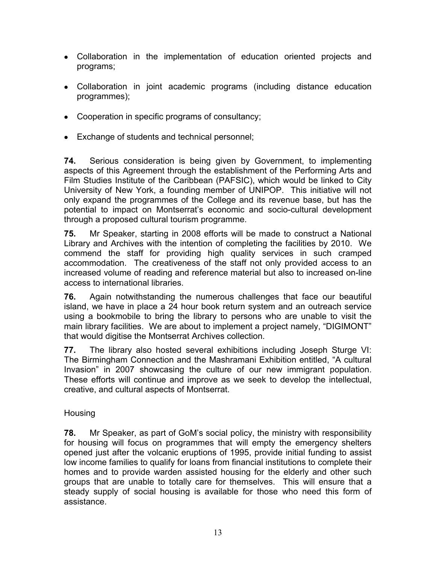- Collaboration in the implementation of education oriented projects and programs;
- Collaboration in joint academic programs (including distance education programmes);
- Cooperation in specific programs of consultancy;
- Exchange of students and technical personnel;

**74.** Serious consideration is being given by Government, to implementing aspects of this Agreement through the establishment of the Performing Arts and Film Studies Institute of the Caribbean (PAFSIC), which would be linked to City University of New York, a founding member of UNIPOP. This initiative will not only expand the programmes of the College and its revenue base, but has the potential to impact on Montserrat's economic and socio-cultural development through a proposed cultural tourism programme.

**75.** Mr Speaker, starting in 2008 efforts will be made to construct a National Library and Archives with the intention of completing the facilities by 2010. We commend the staff for providing high quality services in such cramped accommodation. The creativeness of the staff not only provided access to an increased volume of reading and reference material but also to increased on-line access to international libraries.

**76.** Again notwithstanding the numerous challenges that face our beautiful island, we have in place a 24 hour book return system and an outreach service using a bookmobile to bring the library to persons who are unable to visit the main library facilities. We are about to implement a project namely, "DIGIMONT" that would digitise the Montserrat Archives collection.

**77.** The library also hosted several exhibitions including Joseph Sturge VI: The Birmingham Connection and the Mashramani Exhibition entitled, "A cultural Invasion" in 2007 showcasing the culture of our new immigrant population. These efforts will continue and improve as we seek to develop the intellectual, creative, and cultural aspects of Montserrat.

#### Housing

**78.** Mr Speaker, as part of GoM's social policy, the ministry with responsibility for housing will focus on programmes that will empty the emergency shelters opened just after the volcanic eruptions of 1995, provide initial funding to assist low income families to qualify for loans from financial institutions to complete their homes and to provide warden assisted housing for the elderly and other such groups that are unable to totally care for themselves. This will ensure that a steady supply of social housing is available for those who need this form of assistance.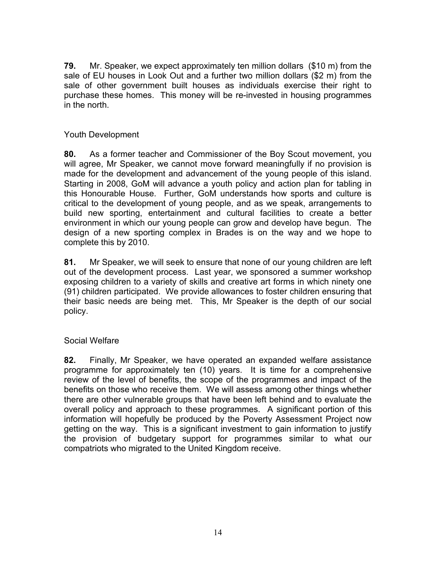**79.** Mr. Speaker, we expect approximately ten million dollars (\$10 m) from the sale of EU houses in Look Out and a further two million dollars (\$2 m) from the sale of other government built houses as individuals exercise their right to purchase these homes. This money will be re-invested in housing programmes in the north.

#### Youth Development

**80.** As a former teacher and Commissioner of the Boy Scout movement, you will agree, Mr Speaker, we cannot move forward meaningfully if no provision is made for the development and advancement of the young people of this island. Starting in 2008, GoM will advance a youth policy and action plan for tabling in this Honourable House. Further, GoM understands how sports and culture is critical to the development of young people, and as we speak, arrangements to build new sporting, entertainment and cultural facilities to create a better environment in which our young people can grow and develop have begun. The design of a new sporting complex in Brades is on the way and we hope to complete this by 2010.

**81.** Mr Speaker, we will seek to ensure that none of our young children are left out of the development process. Last year, we sponsored a summer workshop exposing children to a variety of skills and creative art forms in which ninety one (91) children participated. We provide allowances to foster children ensuring that their basic needs are being met. This, Mr Speaker is the depth of our social policy.

#### Social Welfare

**82.** Finally, Mr Speaker, we have operated an expanded welfare assistance programme for approximately ten (10) years. It is time for a comprehensive review of the level of benefits, the scope of the programmes and impact of the benefits on those who receive them. We will assess among other things whether there are other vulnerable groups that have been left behind and to evaluate the overall policy and approach to these programmes. A significant portion of this information will hopefully be produced by the Poverty Assessment Project now getting on the way. This is a significant investment to gain information to justify the provision of budgetary support for programmes similar to what our compatriots who migrated to the United Kingdom receive.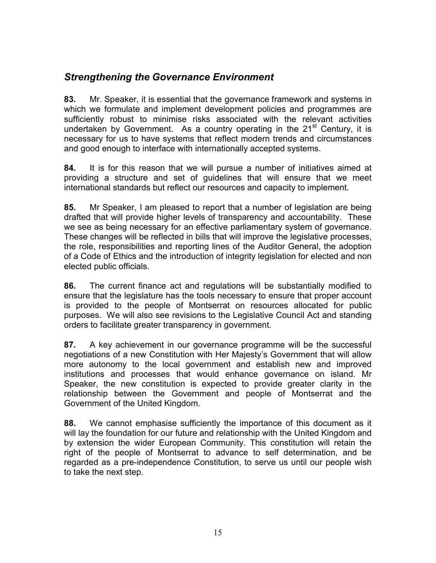### *Strengthening the Governance Environment*

**83.** Mr. Speaker, it is essential that the governance framework and systems in which we formulate and implement development policies and programmes are sufficiently robust to minimise risks associated with the relevant activities undertaken by Government. As a country operating in the  $21<sup>st</sup>$  Century, it is necessary for us to have systems that reflect modern trends and circumstances and good enough to interface with internationally accepted systems.

**84.** It is for this reason that we will pursue a number of initiatives aimed at providing a structure and set of guidelines that will ensure that we meet international standards but reflect our resources and capacity to implement.

**85.** Mr Speaker, I am pleased to report that a number of legislation are being drafted that will provide higher levels of transparency and accountability. These we see as being necessary for an effective parliamentary system of governance. These changes will be reflected in bills that will improve the legislative processes, the role, responsibilities and reporting lines of the Auditor General, the adoption of a Code of Ethics and the introduction of integrity legislation for elected and non elected public officials.

**86.** The current finance act and regulations will be substantially modified to ensure that the legislature has the tools necessary to ensure that proper account is provided to the people of Montserrat on resources allocated for public purposes. We will also see revisions to the Legislative Council Act and standing orders to facilitate greater transparency in government.

**87.** A key achievement in our governance programme will be the successful negotiations of a new Constitution with Her Majesty's Government that will allow more autonomy to the local government and establish new and improved institutions and processes that would enhance governance on island. Mr Speaker, the new constitution is expected to provide greater clarity in the relationship between the Government and people of Montserrat and the Government of the United Kingdom.

**88.** We cannot emphasise sufficiently the importance of this document as it will lay the foundation for our future and relationship with the United Kingdom and by extension the wider European Community. This constitution will retain the right of the people of Montserrat to advance to self determination, and be regarded as a pre-independence Constitution, to serve us until our people wish to take the next step.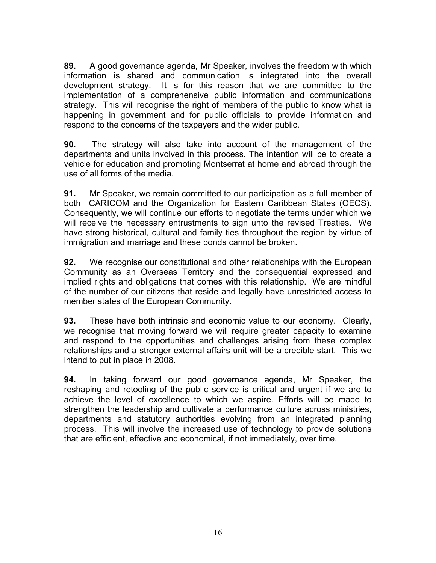**89.** A good governance agenda, Mr Speaker, involves the freedom with which information is shared and communication is integrated into the overall development strategy. It is for this reason that we are committed to the implementation of a comprehensive public information and communications strategy. This will recognise the right of members of the public to know what is happening in government and for public officials to provide information and respond to the concerns of the taxpayers and the wider public.

**90.** The strategy will also take into account of the management of the departments and units involved in this process. The intention will be to create a vehicle for education and promoting Montserrat at home and abroad through the use of all forms of the media.

**91.** Mr Speaker, we remain committed to our participation as a full member of both CARICOM and the Organization for Eastern Caribbean States (OECS). Consequently, we will continue our efforts to negotiate the terms under which we will receive the necessary entrustments to sign unto the revised Treaties. We have strong historical, cultural and family ties throughout the region by virtue of immigration and marriage and these bonds cannot be broken.

**92.** We recognise our constitutional and other relationships with the European Community as an Overseas Territory and the consequential expressed and implied rights and obligations that comes with this relationship. We are mindful of the number of our citizens that reside and legally have unrestricted access to member states of the European Community.

**93.** These have both intrinsic and economic value to our economy. Clearly, we recognise that moving forward we will require greater capacity to examine and respond to the opportunities and challenges arising from these complex relationships and a stronger external affairs unit will be a credible start. This we intend to put in place in 2008.

**94.** In taking forward our good governance agenda, Mr Speaker, the reshaping and retooling of the public service is critical and urgent if we are to achieve the level of excellence to which we aspire. Efforts will be made to strengthen the leadership and cultivate a performance culture across ministries, departments and statutory authorities evolving from an integrated planning process. This will involve the increased use of technology to provide solutions that are efficient, effective and economical, if not immediately, over time.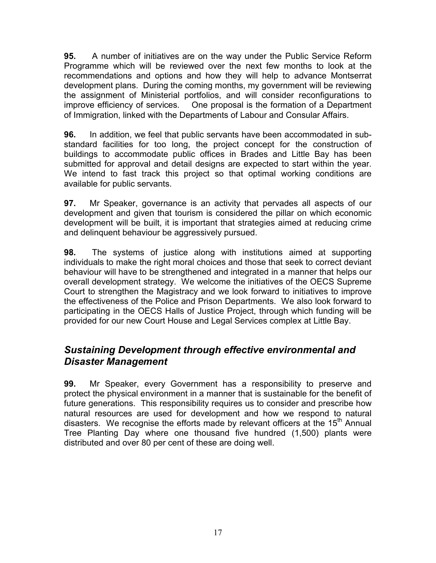**95.** A number of initiatives are on the way under the Public Service Reform Programme which will be reviewed over the next few months to look at the recommendations and options and how they will help to advance Montserrat development plans. During the coming months, my government will be reviewing the assignment of Ministerial portfolios, and will consider reconfigurations to improve efficiency of services. One proposal is the formation of a Department of Immigration, linked with the Departments of Labour and Consular Affairs.

**96.** In addition, we feel that public servants have been accommodated in substandard facilities for too long, the project concept for the construction of buildings to accommodate public offices in Brades and Little Bay has been submitted for approval and detail designs are expected to start within the year. We intend to fast track this project so that optimal working conditions are available for public servants.

**97.** Mr Speaker, governance is an activity that pervades all aspects of our development and given that tourism is considered the pillar on which economic development will be built, it is important that strategies aimed at reducing crime and delinquent behaviour be aggressively pursued.

**98.** The systems of justice along with institutions aimed at supporting individuals to make the right moral choices and those that seek to correct deviant behaviour will have to be strengthened and integrated in a manner that helps our overall development strategy. We welcome the initiatives of the OECS Supreme Court to strengthen the Magistracy and we look forward to initiatives to improve the effectiveness of the Police and Prison Departments. We also look forward to participating in the OECS Halls of Justice Project, through which funding will be provided for our new Court House and Legal Services complex at Little Bay.

### *Sustaining Development through effective environmental and Disaster Management*

**99.** Mr Speaker, every Government has a responsibility to preserve and protect the physical environment in a manner that is sustainable for the benefit of future generations. This responsibility requires us to consider and prescribe how natural resources are used for development and how we respond to natural disasters. We recognise the efforts made by relevant officers at the  $15<sup>th</sup>$  Annual Tree Planting Day where one thousand five hundred (1,500) plants were distributed and over 80 per cent of these are doing well.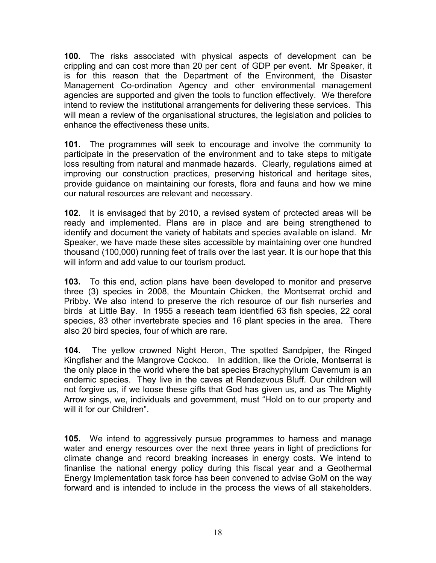**100.** The risks associated with physical aspects of development can be crippling and can cost more than 20 per cent of GDP per event. Mr Speaker, it is for this reason that the Department of the Environment, the Disaster Management Co-ordination Agency and other environmental management agencies are supported and given the tools to function effectively. We therefore intend to review the institutional arrangements for delivering these services. This will mean a review of the organisational structures, the legislation and policies to enhance the effectiveness these units.

**101.** The programmes will seek to encourage and involve the community to participate in the preservation of the environment and to take steps to mitigate loss resulting from natural and manmade hazards. Clearly, regulations aimed at improving our construction practices, preserving historical and heritage sites, provide guidance on maintaining our forests, flora and fauna and how we mine our natural resources are relevant and necessary.

**102.** It is envisaged that by 2010, a revised system of protected areas will be ready and implemented. Plans are in place and are being strengthened to identify and document the variety of habitats and species available on island. Mr Speaker, we have made these sites accessible by maintaining over one hundred thousand (100,000) running feet of trails over the last year. It is our hope that this will inform and add value to our tourism product.

**103.** To this end, action plans have been developed to monitor and preserve three (3) species in 2008, the Mountain Chicken, the Montserrat orchid and Pribby. We also intend to preserve the rich resource of our fish nurseries and birds at Little Bay. In 1955 a reseach team identified 63 fish species, 22 coral species, 83 other invertebrate species and 16 plant species in the area. There also 20 bird species, four of which are rare.

**104.** The yellow crowned Night Heron, The spotted Sandpiper, the Ringed Kingfisher and the Mangrove Cockoo. In addition, like the Oriole, Montserrat is the only place in the world where the bat species Brachyphyllum Cavernum is an endemic species. They live in the caves at Rendezvous Bluff. Our children will not forgive us, if we loose these gifts that God has given us, and as The Mighty Arrow sings, we, individuals and government, must "Hold on to our property and will it for our Children".

**105.** We intend to aggressively pursue programmes to harness and manage water and energy resources over the next three years in light of predictions for climate change and record breaking increases in energy costs. We intend to finanlise the national energy policy during this fiscal year and a Geothermal Energy Implementation task force has been convened to advise GoM on the way forward and is intended to include in the process the views of all stakeholders.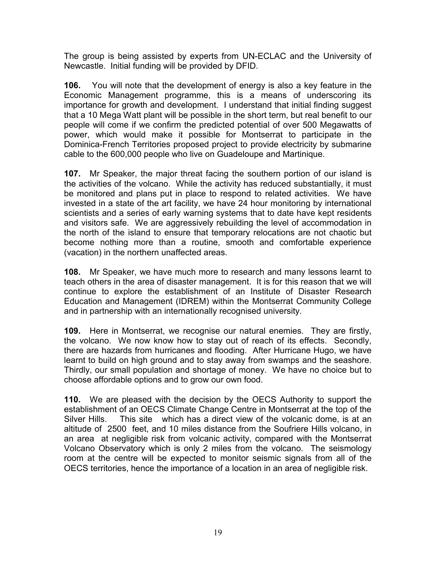The group is being assisted by experts from UN-ECLAC and the University of Newcastle. Initial funding will be provided by DFID.

**106.** You will note that the development of energy is also a key feature in the Economic Management programme, this is a means of underscoring its importance for growth and development. I understand that initial finding suggest that a 10 Mega Watt plant will be possible in the short term, but real benefit to our people will come if we confirm the predicted potential of over 500 Megawatts of power, which would make it possible for Montserrat to participate in the Dominica-French Territories proposed project to provide electricity by submarine cable to the 600,000 people who live on Guadeloupe and Martinique.

**107.** Mr Speaker, the major threat facing the southern portion of our island is the activities of the volcano. While the activity has reduced substantially, it must be monitored and plans put in place to respond to related activities. We have invested in a state of the art facility, we have 24 hour monitoring by international scientists and a series of early warning systems that to date have kept residents and visitors safe. We are aggressively rebuilding the level of accommodation in the north of the island to ensure that temporary relocations are not chaotic but become nothing more than a routine, smooth and comfortable experience (vacation) in the northern unaffected areas.

**108.** Mr Speaker, we have much more to research and many lessons learnt to teach others in the area of disaster management. It is for this reason that we will continue to explore the establishment of an Institute of Disaster Research Education and Management (IDREM) within the Montserrat Community College and in partnership with an internationally recognised university.

**109.** Here in Montserrat, we recognise our natural enemies. They are firstly, the volcano. We now know how to stay out of reach of its effects. Secondly, there are hazards from hurricanes and flooding. After Hurricane Hugo, we have learnt to build on high ground and to stay away from swamps and the seashore. Thirdly, our small population and shortage of money. We have no choice but to choose affordable options and to grow our own food.

**110.** We are pleased with the decision by the OECS Authority to support the establishment of an OECS Climate Change Centre in Montserrat at the top of the Silver Hills. This site which has a direct view of the volcanic dome, is at an altitude of 2500 feet, and 10 miles distance from the Soufriere Hills volcano, in an area at negligible risk from volcanic activity, compared with the Montserrat Volcano Observatory which is only 2 miles from the volcano. The seismology room at the centre will be expected to monitor seismic signals from all of the OECS territories, hence the importance of a location in an area of negligible risk.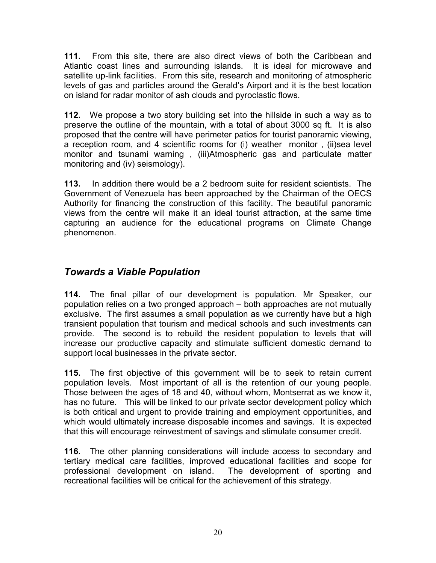**111.** From this site, there are also direct views of both the Caribbean and Atlantic coast lines and surrounding islands. It is ideal for microwave and satellite up-link facilities. From this site, research and monitoring of atmospheric levels of gas and particles around the Gerald's Airport and it is the best location on island for radar monitor of ash clouds and pyroclastic flows.

**112.** We propose a two story building set into the hillside in such a way as to preserve the outline of the mountain, with a total of about 3000 sq ft. It is also proposed that the centre will have perimeter patios for tourist panoramic viewing, a reception room, and 4 scientific rooms for (i) weather monitor , (ii)sea level monitor and tsunami warning , (iii)Atmospheric gas and particulate matter monitoring and (iv) seismology).

**113.** In addition there would be a 2 bedroom suite for resident scientists. The Government of Venezuela has been approached by the Chairman of the OECS Authority for financing the construction of this facility. The beautiful panoramic views from the centre will make it an ideal tourist attraction, at the same time capturing an audience for the educational programs on Climate Change phenomenon.

### *Towards a Viable Population*

**114.** The final pillar of our development is population. Mr Speaker, our population relies on a two pronged approach – both approaches are not mutually exclusive. The first assumes a small population as we currently have but a high transient population that tourism and medical schools and such investments can provide. The second is to rebuild the resident population to levels that will increase our productive capacity and stimulate sufficient domestic demand to support local businesses in the private sector.

**115.** The first objective of this government will be to seek to retain current population levels. Most important of all is the retention of our young people. Those between the ages of 18 and 40, without whom, Montserrat as we know it, has no future. This will be linked to our private sector development policy which is both critical and urgent to provide training and employment opportunities, and which would ultimately increase disposable incomes and savings. It is expected that this will encourage reinvestment of savings and stimulate consumer credit.

**116.** The other planning considerations will include access to secondary and tertiary medical care facilities, improved educational facilities and scope for professional development on island. The development of sporting and recreational facilities will be critical for the achievement of this strategy.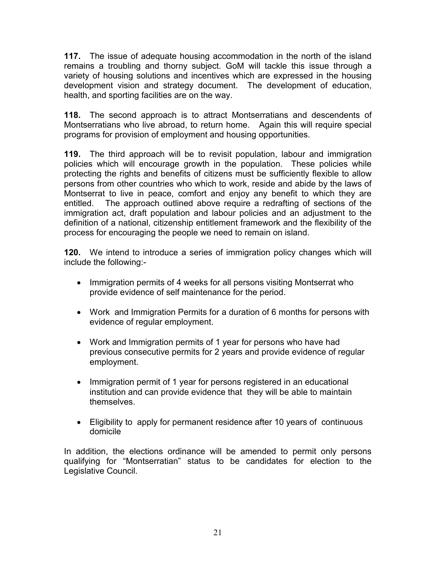**117.** The issue of adequate housing accommodation in the north of the island remains a troubling and thorny subject. GoM will tackle this issue through a variety of housing solutions and incentives which are expressed in the housing development vision and strategy document. The development of education, health, and sporting facilities are on the way.

**118.** The second approach is to attract Montserratians and descendents of Montserratians who live abroad, to return home. Again this will require special programs for provision of employment and housing opportunities.

**119.** The third approach will be to revisit population, labour and immigration policies which will encourage growth in the population. These policies while protecting the rights and benefits of citizens must be sufficiently flexible to allow persons from other countries who which to work, reside and abide by the laws of Montserrat to live in peace, comfort and enjoy any benefit to which they are entitled. The approach outlined above require a redrafting of sections of the immigration act, draft population and labour policies and an adjustment to the definition of a national, citizenship entitlement framework and the flexibility of the process for encouraging the people we need to remain on island.

**120.** We intend to introduce a series of immigration policy changes which will include the following:-

- Immigration permits of 4 weeks for all persons visiting Montserrat who provide evidence of self maintenance for the period.
- Work and Immigration Permits for a duration of 6 months for persons with evidence of regular employment.
- Work and Immigration permits of 1 year for persons who have had previous consecutive permits for 2 years and provide evidence of regular employment.
- Immigration permit of 1 year for persons registered in an educational institution and can provide evidence that they will be able to maintain themselves.
- Eligibility to apply for permanent residence after 10 years of continuous domicile

In addition, the elections ordinance will be amended to permit only persons qualifying for "Montserratian" status to be candidates for election to the Legislative Council.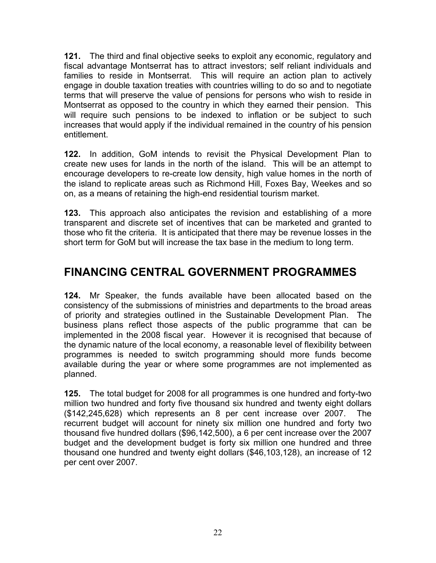**121.** The third and final objective seeks to exploit any economic, regulatory and fiscal advantage Montserrat has to attract investors; self reliant individuals and families to reside in Montserrat. This will require an action plan to actively engage in double taxation treaties with countries willing to do so and to negotiate terms that will preserve the value of pensions for persons who wish to reside in Montserrat as opposed to the country in which they earned their pension. This will require such pensions to be indexed to inflation or be subject to such increases that would apply if the individual remained in the country of his pension entitlement.

**122.** In addition, GoM intends to revisit the Physical Development Plan to create new uses for lands in the north of the island. This will be an attempt to encourage developers to re-create low density, high value homes in the north of the island to replicate areas such as Richmond Hill, Foxes Bay, Weekes and so on, as a means of retaining the high-end residential tourism market.

**123.** This approach also anticipates the revision and establishing of a more transparent and discrete set of incentives that can be marketed and granted to those who fit the criteria. It is anticipated that there may be revenue losses in the short term for GoM but will increase the tax base in the medium to long term.

# **FINANCING CENTRAL GOVERNMENT PROGRAMMES**

**124.** Mr Speaker, the funds available have been allocated based on the consistency of the submissions of ministries and departments to the broad areas of priority and strategies outlined in the Sustainable Development Plan. The business plans reflect those aspects of the public programme that can be implemented in the 2008 fiscal year. However it is recognised that because of the dynamic nature of the local economy, a reasonable level of flexibility between programmes is needed to switch programming should more funds become available during the year or where some programmes are not implemented as planned.

**125.** The total budget for 2008 for all programmes is one hundred and forty-two million two hundred and forty five thousand six hundred and twenty eight dollars (\$142,245,628) which represents an 8 per cent increase over 2007. The recurrent budget will account for ninety six million one hundred and forty two thousand five hundred dollars (\$96,142,500), a 6 per cent increase over the 2007 budget and the development budget is forty six million one hundred and three thousand one hundred and twenty eight dollars (\$46,103,128), an increase of 12 per cent over 2007.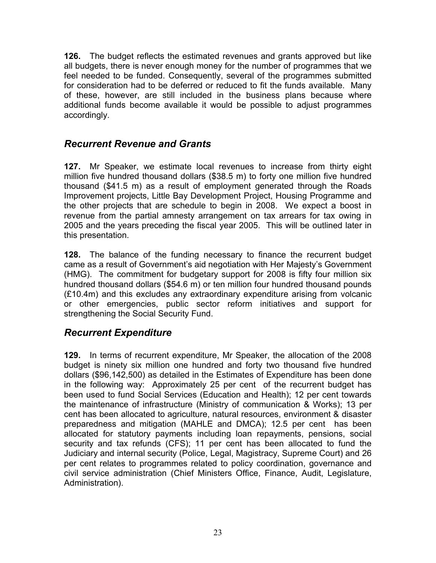**126.** The budget reflects the estimated revenues and grants approved but like all budgets, there is never enough money for the number of programmes that we feel needed to be funded. Consequently, several of the programmes submitted for consideration had to be deferred or reduced to fit the funds available. Many of these, however, are still included in the business plans because where additional funds become available it would be possible to adjust programmes accordingly.

### *Recurrent Revenue and Grants*

**127.** Mr Speaker, we estimate local revenues to increase from thirty eight million five hundred thousand dollars (\$38.5 m) to forty one million five hundred thousand (\$41.5 m) as a result of employment generated through the Roads Improvement projects, Little Bay Development Project, Housing Programme and the other projects that are schedule to begin in 2008. We expect a boost in revenue from the partial amnesty arrangement on tax arrears for tax owing in 2005 and the years preceding the fiscal year 2005. This will be outlined later in this presentation.

**128.** The balance of the funding necessary to finance the recurrent budget came as a result of Government's aid negotiation with Her Majesty's Government (HMG). The commitment for budgetary support for 2008 is fifty four million six hundred thousand dollars (\$54.6 m) or ten million four hundred thousand pounds (£10.4m) and this excludes any extraordinary expenditure arising from volcanic or other emergencies, public sector reform initiatives and support for strengthening the Social Security Fund.

### *Recurrent Expenditure*

**129.** In terms of recurrent expenditure, Mr Speaker, the allocation of the 2008 budget is ninety six million one hundred and forty two thousand five hundred dollars (\$96,142,500) as detailed in the Estimates of Expenditure has been done in the following way: Approximately 25 per cent of the recurrent budget has been used to fund Social Services (Education and Health); 12 per cent towards the maintenance of infrastructure (Ministry of communication & Works); 13 per cent has been allocated to agriculture, natural resources, environment & disaster preparedness and mitigation (MAHLE and DMCA); 12.5 per cent has been allocated for statutory payments including loan repayments, pensions, social security and tax refunds (CFS); 11 per cent has been allocated to fund the Judiciary and internal security (Police, Legal, Magistracy, Supreme Court) and 26 per cent relates to programmes related to policy coordination, governance and civil service administration (Chief Ministers Office, Finance, Audit, Legislature, Administration).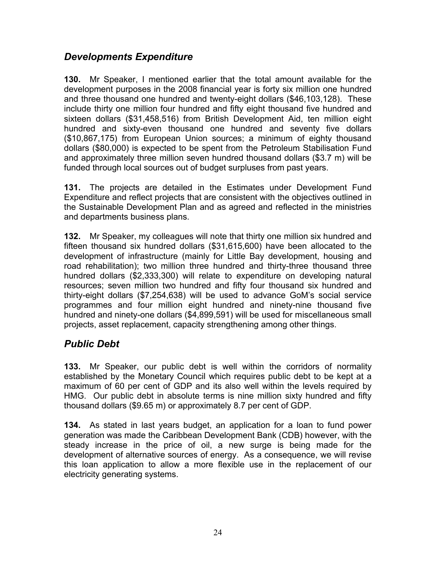### *Developments Expenditure*

**130.** Mr Speaker, I mentioned earlier that the total amount available for the development purposes in the 2008 financial year is forty six million one hundred and three thousand one hundred and twenty-eight dollars (\$46,103,128). These include thirty one million four hundred and fifty eight thousand five hundred and sixteen dollars (\$31,458,516) from British Development Aid, ten million eight hundred and sixty-even thousand one hundred and seventy five dollars (\$10,867,175) from European Union sources; a minimum of eighty thousand dollars (\$80,000) is expected to be spent from the Petroleum Stabilisation Fund and approximately three million seven hundred thousand dollars (\$3.7 m) will be funded through local sources out of budget surpluses from past years.

**131.** The projects are detailed in the Estimates under Development Fund Expenditure and reflect projects that are consistent with the objectives outlined in the Sustainable Development Plan and as agreed and reflected in the ministries and departments business plans.

**132.** Mr Speaker, my colleagues will note that thirty one million six hundred and fifteen thousand six hundred dollars (\$31,615,600) have been allocated to the development of infrastructure (mainly for Little Bay development, housing and road rehabilitation); two million three hundred and thirty-three thousand three hundred dollars (\$2,333,300) will relate to expenditure on developing natural resources; seven million two hundred and fifty four thousand six hundred and thirty-eight dollars (\$7,254,638) will be used to advance GoM's social service programmes and four million eight hundred and ninety-nine thousand five hundred and ninety-one dollars (\$4,899,591) will be used for miscellaneous small projects, asset replacement, capacity strengthening among other things.

### *Public Debt*

**133.** Mr Speaker, our public debt is well within the corridors of normality established by the Monetary Council which requires public debt to be kept at a maximum of 60 per cent of GDP and its also well within the levels required by HMG. Our public debt in absolute terms is nine million sixty hundred and fifty thousand dollars (\$9.65 m) or approximately 8.7 per cent of GDP.

**134.** As stated in last years budget, an application for a loan to fund power generation was made the Caribbean Development Bank (CDB) however, with the steady increase in the price of oil, a new surge is being made for the development of alternative sources of energy. As a consequence, we will revise this loan application to allow a more flexible use in the replacement of our electricity generating systems.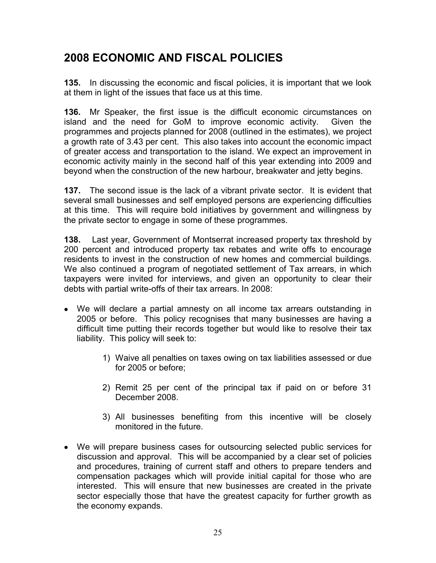# **2008 ECONOMIC AND FISCAL POLICIES**

**135.** In discussing the economic and fiscal policies, it is important that we look at them in light of the issues that face us at this time.

**136.** Mr Speaker, the first issue is the difficult economic circumstances on island and the need for GoM to improve economic activity. Given the programmes and projects planned for 2008 (outlined in the estimates), we project a growth rate of 3.43 per cent. This also takes into account the economic impact of greater access and transportation to the island. We expect an improvement in economic activity mainly in the second half of this year extending into 2009 and beyond when the construction of the new harbour, breakwater and jetty begins.

**137.** The second issue is the lack of a vibrant private sector. It is evident that several small businesses and self employed persons are experiencing difficulties at this time. This will require bold initiatives by government and willingness by the private sector to engage in some of these programmes.

**138.** Last year, Government of Montserrat increased property tax threshold by 200 percent and introduced property tax rebates and write offs to encourage residents to invest in the construction of new homes and commercial buildings. We also continued a program of negotiated settlement of Tax arrears, in which taxpayers were invited for interviews, and given an opportunity to clear their debts with partial write-offs of their tax arrears. In 2008:

- We will declare a partial amnesty on all income tax arrears outstanding in 2005 or before. This policy recognises that many businesses are having a difficult time putting their records together but would like to resolve their tax liability. This policy will seek to:
	- 1) Waive all penalties on taxes owing on tax liabilities assessed or due for 2005 or before;
	- 2) Remit 25 per cent of the principal tax if paid on or before 31 December 2008.
	- 3) All businesses benefiting from this incentive will be closely monitored in the future.
- We will prepare business cases for outsourcing selected public services for discussion and approval. This will be accompanied by a clear set of policies and procedures, training of current staff and others to prepare tenders and compensation packages which will provide initial capital for those who are interested. This will ensure that new businesses are created in the private sector especially those that have the greatest capacity for further growth as the economy expands.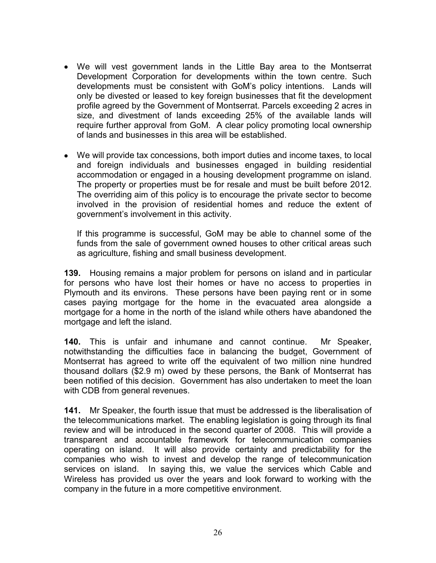- We will vest government lands in the Little Bay area to the Montserrat Development Corporation for developments within the town centre. Such developments must be consistent with GoM's policy intentions. Lands will only be divested or leased to key foreign businesses that fit the development profile agreed by the Government of Montserrat. Parcels exceeding 2 acres in size, and divestment of lands exceeding 25% of the available lands will require further approval from GoM. A clear policy promoting local ownership of lands and businesses in this area will be established.
- We will provide tax concessions, both import duties and income taxes, to local and foreign individuals and businesses engaged in building residential accommodation or engaged in a housing development programme on island. The property or properties must be for resale and must be built before 2012. The overriding aim of this policy is to encourage the private sector to become involved in the provision of residential homes and reduce the extent of government's involvement in this activity.

If this programme is successful, GoM may be able to channel some of the funds from the sale of government owned houses to other critical areas such as agriculture, fishing and small business development.

**139.** Housing remains a major problem for persons on island and in particular for persons who have lost their homes or have no access to properties in Plymouth and its environs. These persons have been paying rent or in some cases paying mortgage for the home in the evacuated area alongside a mortgage for a home in the north of the island while others have abandoned the mortgage and left the island.

**140.** This is unfair and inhumane and cannot continue. Mr Speaker, notwithstanding the difficulties face in balancing the budget, Government of Montserrat has agreed to write off the equivalent of two million nine hundred thousand dollars (\$2.9 m) owed by these persons, the Bank of Montserrat has been notified of this decision. Government has also undertaken to meet the loan with CDB from general revenues.

**141.** Mr Speaker, the fourth issue that must be addressed is the liberalisation of the telecommunications market. The enabling legislation is going through its final review and will be introduced in the second quarter of 2008. This will provide a transparent and accountable framework for telecommunication companies operating on island. It will also provide certainty and predictability for the companies who wish to invest and develop the range of telecommunication services on island. In saying this, we value the services which Cable and Wireless has provided us over the years and look forward to working with the company in the future in a more competitive environment.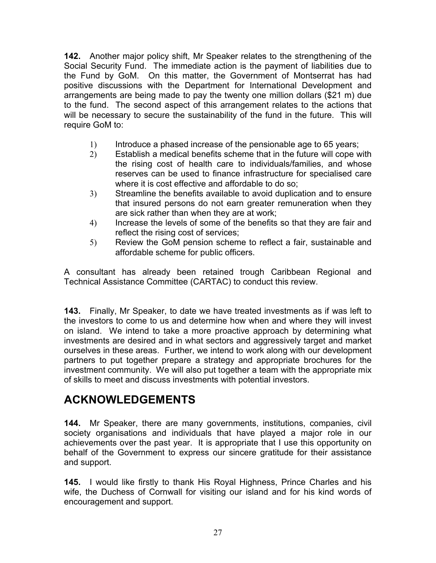**142.** Another major policy shift, Mr Speaker relates to the strengthening of the Social Security Fund. The immediate action is the payment of liabilities due to the Fund by GoM. On this matter, the Government of Montserrat has had positive discussions with the Department for International Development and arrangements are being made to pay the twenty one million dollars (\$21 m) due to the fund. The second aspect of this arrangement relates to the actions that will be necessary to secure the sustainability of the fund in the future. This will require GoM to:

- 1) Introduce a phased increase of the pensionable age to 65 years;
- 2) Establish a medical benefits scheme that in the future will cope with the rising cost of health care to individuals/families, and whose reserves can be used to finance infrastructure for specialised care where it is cost effective and affordable to do so;
- 3) Streamline the benefits available to avoid duplication and to ensure that insured persons do not earn greater remuneration when they are sick rather than when they are at work;
- 4) Increase the levels of some of the benefits so that they are fair and reflect the rising cost of services;
- 5) Review the GoM pension scheme to reflect a fair, sustainable and affordable scheme for public officers.

A consultant has already been retained trough Caribbean Regional and Technical Assistance Committee (CARTAC) to conduct this review.

**143.** Finally, Mr Speaker, to date we have treated investments as if was left to the investors to come to us and determine how when and where they will invest on island. We intend to take a more proactive approach by determining what investments are desired and in what sectors and aggressively target and market ourselves in these areas. Further, we intend to work along with our development partners to put together prepare a strategy and appropriate brochures for the investment community. We will also put together a team with the appropriate mix of skills to meet and discuss investments with potential investors.

## **ACKNOWLEDGEMENTS**

**144.** Mr Speaker, there are many governments, institutions, companies, civil society organisations and individuals that have played a major role in our achievements over the past year. It is appropriate that I use this opportunity on behalf of the Government to express our sincere gratitude for their assistance and support.

**145.** I would like firstly to thank His Royal Highness, Prince Charles and his wife, the Duchess of Cornwall for visiting our island and for his kind words of encouragement and support.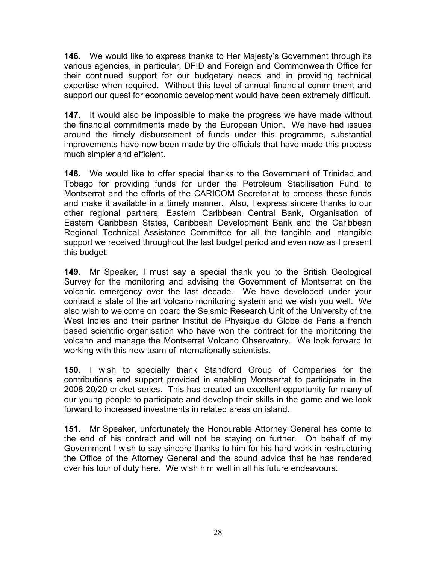**146.** We would like to express thanks to Her Majesty's Government through its various agencies, in particular, DFID and Foreign and Commonwealth Office for their continued support for our budgetary needs and in providing technical expertise when required. Without this level of annual financial commitment and support our quest for economic development would have been extremely difficult.

**147.** It would also be impossible to make the progress we have made without the financial commitments made by the European Union. We have had issues around the timely disbursement of funds under this programme, substantial improvements have now been made by the officials that have made this process much simpler and efficient.

**148.** We would like to offer special thanks to the Government of Trinidad and Tobago for providing funds for under the Petroleum Stabilisation Fund to Montserrat and the efforts of the CARICOM Secretariat to process these funds and make it available in a timely manner. Also, I express sincere thanks to our other regional partners, Eastern Caribbean Central Bank, Organisation of Eastern Caribbean States, Caribbean Development Bank and the Caribbean Regional Technical Assistance Committee for all the tangible and intangible support we received throughout the last budget period and even now as I present this budget.

**149.** Mr Speaker, I must say a special thank you to the British Geological Survey for the monitoring and advising the Government of Montserrat on the volcanic emergency over the last decade. We have developed under your contract a state of the art volcano monitoring system and we wish you well. We also wish to welcome on board the Seismic Research Unit of the University of the West Indies and their partner Institut de Physique du Globe de Paris a french based scientific organisation who have won the contract for the monitoring the volcano and manage the Montserrat Volcano Observatory. We look forward to working with this new team of internationally scientists.

**150.** I wish to specially thank Standford Group of Companies for the contributions and support provided in enabling Montserrat to participate in the 2008 20/20 cricket series. This has created an excellent opportunity for many of our young people to participate and develop their skills in the game and we look forward to increased investments in related areas on island.

**151.** Mr Speaker, unfortunately the Honourable Attorney General has come to the end of his contract and will not be staying on further. On behalf of my Government I wish to say sincere thanks to him for his hard work in restructuring the Office of the Attorney General and the sound advice that he has rendered over his tour of duty here. We wish him well in all his future endeavours.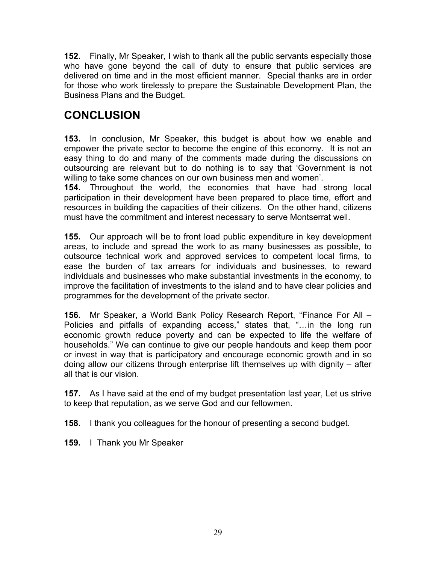**152.** Finally, Mr Speaker, I wish to thank all the public servants especially those who have gone beyond the call of duty to ensure that public services are delivered on time and in the most efficient manner. Special thanks are in order for those who work tirelessly to prepare the Sustainable Development Plan, the Business Plans and the Budget.

# **CONCLUSION**

**153.** In conclusion, Mr Speaker, this budget is about how we enable and empower the private sector to become the engine of this economy. It is not an easy thing to do and many of the comments made during the discussions on outsourcing are relevant but to do nothing is to say that 'Government is not willing to take some chances on our own business men and women'.

**154.** Throughout the world, the economies that have had strong local participation in their development have been prepared to place time, effort and resources in building the capacities of their citizens. On the other hand, citizens must have the commitment and interest necessary to serve Montserrat well.

**155.** Our approach will be to front load public expenditure in key development areas, to include and spread the work to as many businesses as possible, to outsource technical work and approved services to competent local firms, to ease the burden of tax arrears for individuals and businesses, to reward individuals and businesses who make substantial investments in the economy, to improve the facilitation of investments to the island and to have clear policies and programmes for the development of the private sector.

**156.** Mr Speaker, a World Bank Policy Research Report, "Finance For All – Policies and pitfalls of expanding access," states that, "...in the long run economic growth reduce poverty and can be expected to life the welfare of households." We can continue to give our people handouts and keep them poor or invest in way that is participatory and encourage economic growth and in so doing allow our citizens through enterprise lift themselves up with dignity – after all that is our vision.

**157.** As I have said at the end of my budget presentation last year, Let us strive to keep that reputation, as we serve God and our fellowmen.

**158.** I thank you colleagues for the honour of presenting a second budget.

**159.** I Thank you Mr Speaker